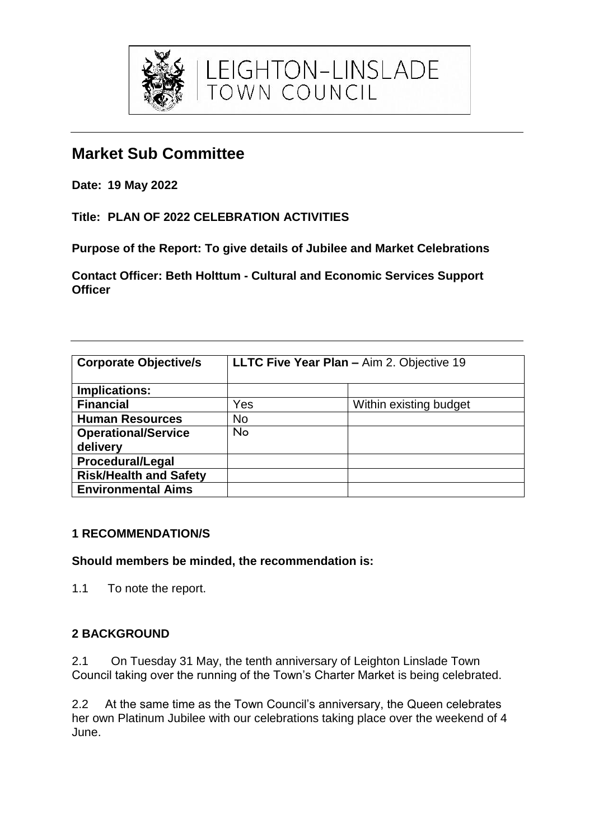

**Date: 19 May 2022**

**Title: PLAN OF 2022 CELEBRATION ACTIVITIES**

**Purpose of the Report: To give details of Jubilee and Market Celebrations** 

LEIGHTON-LINSLADE<br>town council

**Contact Officer: Beth Holttum - Cultural and Economic Services Support Officer** 

| <b>Corporate Objective/s</b>           | <b>LLTC Five Year Plan - Aim 2. Objective 19</b> |                        |
|----------------------------------------|--------------------------------------------------|------------------------|
| Implications:                          |                                                  |                        |
| <b>Financial</b>                       | Yes                                              | Within existing budget |
| <b>Human Resources</b>                 | <b>No</b>                                        |                        |
| <b>Operational/Service</b><br>delivery | No                                               |                        |
| <b>Procedural/Legal</b>                |                                                  |                        |
| <b>Risk/Health and Safety</b>          |                                                  |                        |
| <b>Environmental Aims</b>              |                                                  |                        |

### **1 RECOMMENDATION/S**

#### **Should members be minded, the recommendation is:**

1.1 To note the report.

### **2 BACKGROUND**

2.1 On Tuesday 31 May, the tenth anniversary of Leighton Linslade Town Council taking over the running of the Town's Charter Market is being celebrated.

2.2 At the same time as the Town Council's anniversary, the Queen celebrates her own Platinum Jubilee with our celebrations taking place over the weekend of 4 June.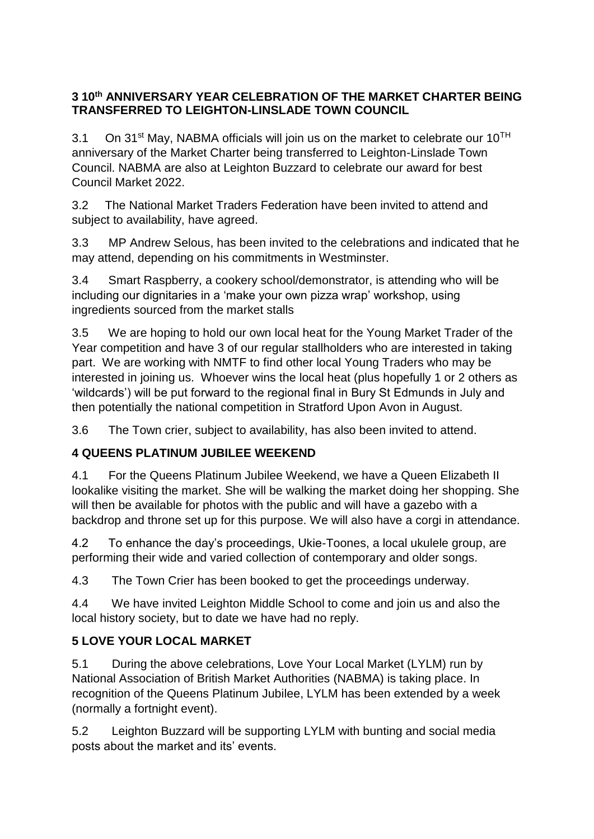## **3 10th ANNIVERSARY YEAR CELEBRATION OF THE MARKET CHARTER BEING TRANSFERRED TO LEIGHTON-LINSLADE TOWN COUNCIL**

3.1 On 31<sup>st</sup> May, NABMA officials will join us on the market to celebrate our  $10^{TH}$ anniversary of the Market Charter being transferred to Leighton-Linslade Town Council. NABMA are also at Leighton Buzzard to celebrate our award for best Council Market 2022.

3.2 The National Market Traders Federation have been invited to attend and subject to availability, have agreed.

3.3 MP Andrew Selous, has been invited to the celebrations and indicated that he may attend, depending on his commitments in Westminster.

3.4 Smart Raspberry, a cookery school/demonstrator, is attending who will be including our dignitaries in a 'make your own pizza wrap' workshop, using ingredients sourced from the market stalls

3.5 We are hoping to hold our own local heat for the Young Market Trader of the Year competition and have 3 of our regular stallholders who are interested in taking part. We are working with NMTF to find other local Young Traders who may be interested in joining us. Whoever wins the local heat (plus hopefully 1 or 2 others as 'wildcards') will be put forward to the regional final in Bury St Edmunds in July and then potentially the national competition in Stratford Upon Avon in August.

3.6 The Town crier, subject to availability, has also been invited to attend.

# **4 QUEENS PLATINUM JUBILEE WEEKEND**

4.1 For the Queens Platinum Jubilee Weekend, we have a Queen Elizabeth II lookalike visiting the market. She will be walking the market doing her shopping. She will then be available for photos with the public and will have a gazebo with a backdrop and throne set up for this purpose. We will also have a corgi in attendance.

4.2 To enhance the day's proceedings, Ukie-Toones, a local ukulele group, are performing their wide and varied collection of contemporary and older songs.

4.3 The Town Crier has been booked to get the proceedings underway.

4.4 We have invited Leighton Middle School to come and join us and also the local history society, but to date we have had no reply.

# **5 LOVE YOUR LOCAL MARKET**

5.1 During the above celebrations, Love Your Local Market (LYLM) run by National Association of British Market Authorities (NABMA) is taking place. In recognition of the Queens Platinum Jubilee, LYLM has been extended by a week (normally a fortnight event).

5.2 Leighton Buzzard will be supporting LYLM with bunting and social media posts about the market and its' events.